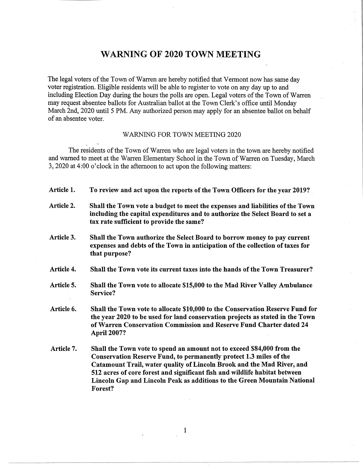## WARNING OF 2020 TOWN MEETING

The legal voters of the Town of Warren are hereby notified that Vermont now has same day voter registration. Eligible residents will be able to register to vote on any day up to and including Election Day during the hours the polls are open. Legal voters of the Town of Warren may request absentee ballots for Australian ballot at the Town Clerk's office until Monday March 2nd, 2020 until 5 PM. Any authorized person may apply for an absentee ballot on behalf of an absentee voter.

## WARNING FOR TOWN MEETING 2020

The residents of the Town of Warren who are legal voters in the town are hereby notified and warned to meet at the Warren Elementary School in the Town of Warren on Tuesday, March 3, 2020 at 4:00 o'clock in the afternoon to act upon the following matters:

| Article 1. |  | To review and act upon the reports of the Town Officers for the year 2019? |  |  |
|------------|--|----------------------------------------------------------------------------|--|--|
|------------|--|----------------------------------------------------------------------------|--|--|

- Article 2. Shall the Town vote a budget to meet the expenses and liabilities of the Town including the capital expenditures and to authorize the Select Board to set a tax rate sufficient to provide the same?
- Article 3. Shall the Town authorize the Select Board to borrow money to pay current expenses and debts of the Town in anticipation of the collection of taxes for that purpose?
- Article 4. Shall the Town vote its current taxes into the hands of the Town Treasurer?
- Article 5. Shall the Town vote to allocate \$15,000 to the Mad River Valley Ambulance Service?
- Article 6. Shall the Town vote to allocate \$10,000 to the Conservation Reserve Fund for the year 2020 to be used for land conservation projects as stated in the Town of Warren Conservation Commission and Reserve Fund Charter dated 24 April 2007?
- Article 7. Shall the Town vote to spend an amount not to exceed \$84,000 from the Conservation Reserve Fund, to permanently protect 1.3 miles of the Catamount Trail, water quality of Lincoln Brook and the Mad River, and 512 acres of core forest and significant fish and wildlife habitat between Lincoln Gap and Lincoln Peak as additions to the Green Mountain National Forest?

 $\mathbf{1}$